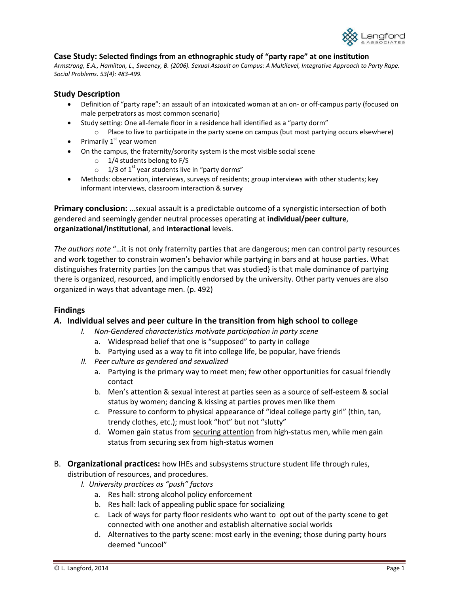

## **Case Study: Selected findings from an ethnographic study of "party rape" at one institution**

*Armstrong, E.A., Hamilton, L., Sweeney, B. (2006). Sexual Assault on Campus: A Multilevel, Integrative Approach to Party Rape. Social Problems. 53(4): 483-499.* 

## **Study Description**

- Definition of "party rape": an assault of an intoxicated woman at an on- or off-campus party (focused on male perpetrators as most common scenario)
- Study setting: One all-female floor in a residence hall identified as a "party dorm"
	- o Place to live to participate in the party scene on campus (but most partying occurs elsewhere)
- Primarily  $1<sup>st</sup>$  year women
- On the campus, the fraternity/sorority system is the most visible social scene
	- o 1/4 students belong to F/S
	- $\circ$  1/3 of 1<sup>st</sup> year students live in "party dorms"
- Methods: observation, interviews, surveys of residents; group interviews with other students; key informant interviews, classroom interaction & survey

**Primary conclusion:** …sexual assault is a predictable outcome of a synergistic intersection of both gendered and seemingly gender neutral processes operating at **individual/peer culture**, **organizational/institutional**, and **interactional** levels.

*The authors note* "…it is not only fraternity parties that are dangerous; men can control party resources and work together to constrain women's behavior while partying in bars and at house parties. What distinguishes fraternity parties [on the campus that was studied} is that male dominance of partying there is organized, resourced, and implicitly endorsed by the university. Other party venues are also organized in ways that advantage men. (p. 492)

# **Findings**

## *A.* **Individual selves and peer culture in the transition from high school to college**

- *I. Non-Gendered characteristics motivate participation in party scene* 
	- a. Widespread belief that one is "supposed" to party in college
	- b. Partying used as a way to fit into college life, be popular, have friends
- *II. Peer culture as gendered and sexualized*
	- a. Partying is the primary way to meet men; few other opportunities for casual friendly contact
	- b. Men's attention & sexual interest at parties seen as a source of self-esteem & social status by women; dancing & kissing at parties proves men like them
	- c. Pressure to conform to physical appearance of "ideal college party girl" (thin, tan, trendy clothes, etc.); must look "hot" but not "slutty"
	- d. Women gain status from securing attention from high-status men, while men gain status from securing sex from high-status women
- B. **Organizational practices:** how IHEs and subsystems structure student life through rules, distribution of resources, and procedures.
	- *I. University practices as "push" factors* 
		- a. Res hall: strong alcohol policy enforcement
		- b. Res hall: lack of appealing public space for socializing
		- c. Lack of ways for party floor residents who want to opt out of the party scene to get connected with one another and establish alternative social worlds
		- d. Alternatives to the party scene: most early in the evening; those during party hours deemed "uncool"